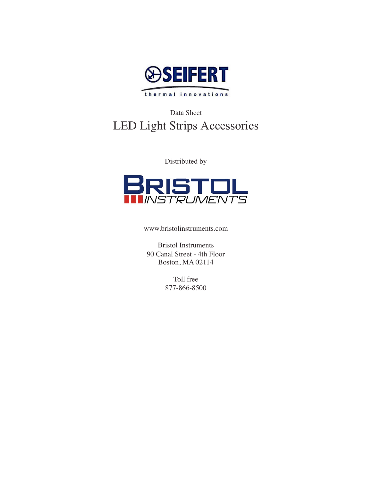

# Data Sheet LED Light Strips Accessories

Distributed by



www.bristolinstruments.com

Bristol Instruments 90 Canal Street - 4th Floor Boston, MA 02114

> Toll free 877-866-8500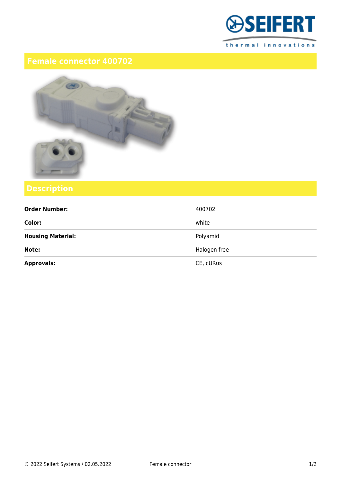

thermal innovations



| <b>Order Number:</b>     | 400702       |
|--------------------------|--------------|
| Color:                   | white        |
| <b>Housing Material:</b> | Polyamid     |
| Note:                    | Halogen free |
| <b>Approvals:</b>        | CE, cURus    |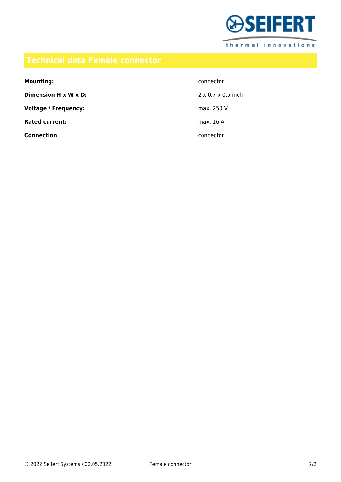

| <b>Mounting:</b>            | connector                      |
|-----------------------------|--------------------------------|
| Dimension H x W x D:        | $2 \times 0.7 \times 0.5$ inch |
| <b>Voltage / Frequency:</b> | max. 250 V                     |
| <b>Rated current:</b>       | max. 16 A                      |
| <b>Connection:</b>          | connector                      |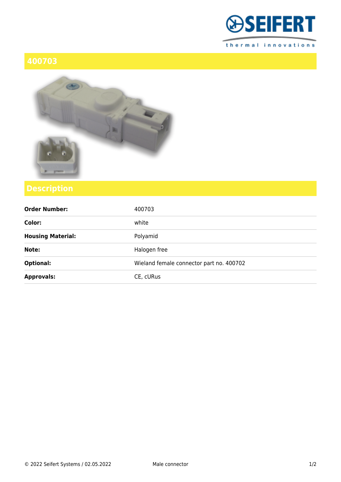



| <b>Order Number:</b>     | 400703                                   |
|--------------------------|------------------------------------------|
| Color:                   | white                                    |
| <b>Housing Material:</b> | Polyamid                                 |
| Note:                    | Halogen free                             |
| <b>Optional:</b>         | Wieland female connector part no. 400702 |
| <b>Approvals:</b>        | CE, cURus                                |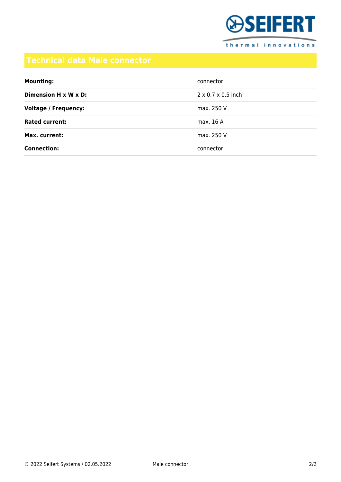

| <b>Mounting:</b>                  | connector                      |
|-----------------------------------|--------------------------------|
| Dimension $H \times W \times D$ : | $2 \times 0.7 \times 0.5$ inch |
| <b>Voltage / Frequency:</b>       | max. 250 V                     |
| <b>Rated current:</b>             | max. 16 A                      |
| Max. current:                     | max. 250 V                     |
| <b>Connection:</b>                | connector                      |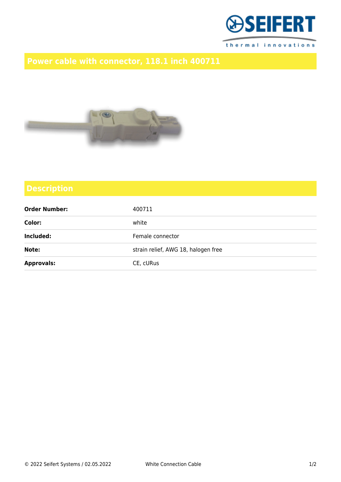



| <b>Order Number:</b> | 400711                              |
|----------------------|-------------------------------------|
| Color:               | white                               |
| Included:            | Female connector                    |
| Note:                | strain relief, AWG 18, halogen free |
| <b>Approvals:</b>    | CE, cURus                           |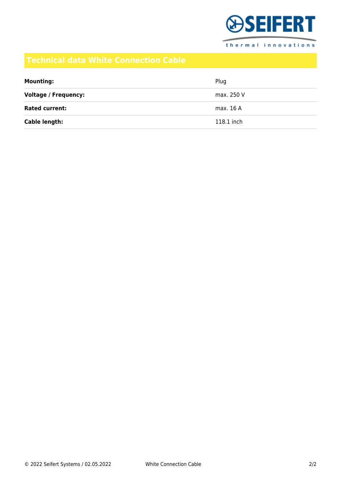

thermal innovations

| <b>Mounting:</b>            | Plug       |
|-----------------------------|------------|
| <b>Voltage / Frequency:</b> | max. 250 V |
| <b>Rated current:</b>       | max. 16 A  |
| Cable length:               | 118.1 inch |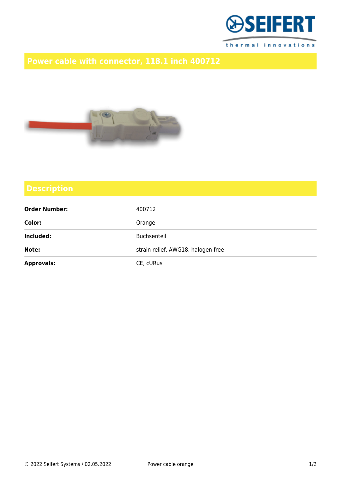



| <b>Order Number:</b> | 400712                             |
|----------------------|------------------------------------|
| Color:               | Orange                             |
| Included:            | Buchsenteil                        |
| Note:                | strain relief, AWG18, halogen free |
| <b>Approvals:</b>    | CE, cURus                          |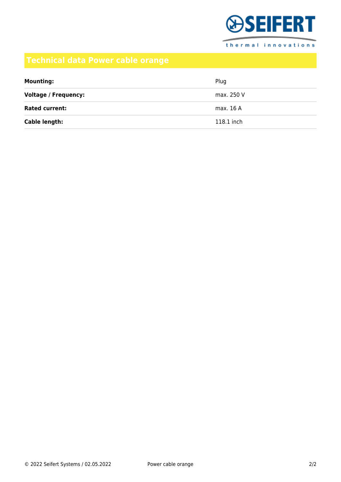

thermal innovations

## **Technical data Power cable orange**

| <b>Mounting:</b>            | Plug       |
|-----------------------------|------------|
| <b>Voltage / Frequency:</b> | max. 250 V |
| <b>Rated current:</b>       | max. 16 A  |
| Cable length:               | 118.1 inch |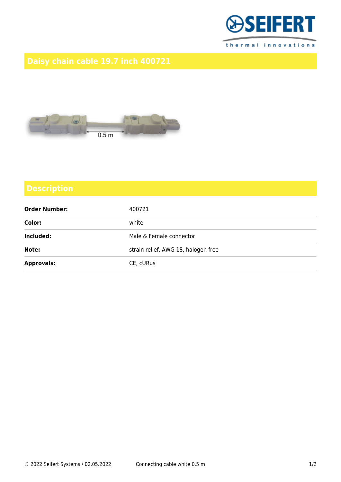



| <b>Order Number:</b> | 400721                              |
|----------------------|-------------------------------------|
| Color:               | white                               |
| Included:            | Male & Female connector             |
| Note:                | strain relief, AWG 18, halogen free |
| <b>Approvals:</b>    | CE, cURus                           |